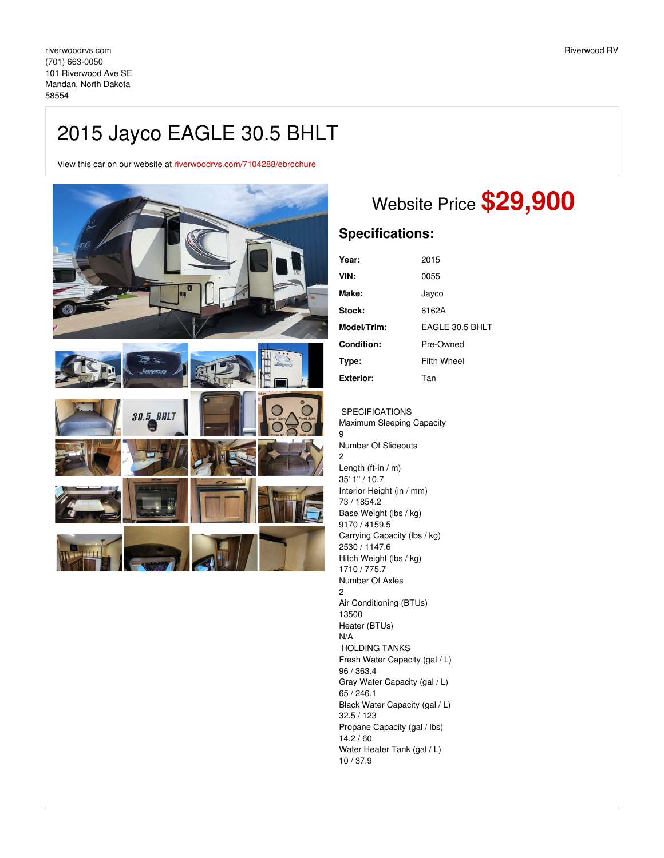## 2015 Jayco EAGLE 30.5 BHLT

View this car on our website at [riverwoodrvs.com/7104288/ebrochure](https://riverwoodrvs.com/vehicle/7104288/2015-jayco-eagle-30-5-bhlt-mandan-north-dakota-58554/7104288/ebrochure)



## Website Price **\$29,900**

## **Specifications:**

| Year:              | 2015               |
|--------------------|--------------------|
| VIN:               | 0055               |
| Make:              | Jayco              |
| <b>Stock:</b>      | 6162A              |
| <b>Model/Trim:</b> | EAGLE 30.5 BHLT    |
| <b>Condition:</b>  | Pre-Owned          |
| Type:              | <b>Fifth Wheel</b> |
| Exterior:          | Tan                |

SPECIFICATIONS Maximum Sleeping Capacity 9 Number Of Slideouts 2 Length (ft-in / m) 35' 1'' / 10.7 Interior Height (in / mm) 73 / 1854.2 Base Weight (lbs / kg) 9170 / 4159.5 Carrying Capacity (lbs / kg) 2530 / 1147.6 Hitch Weight (lbs / kg) 1710 / 775.7 Number Of Axles 2 Air Conditioning (BTUs) 13500 Heater (BTUs) N/A HOLDING TANKS Fresh Water Capacity (gal / L) 96 / 363.4 Gray Water Capacity (gal / L) 65 / 246.1 Black Water Capacity (gal / L) 32.5 / 123 Propane Capacity (gal / lbs) 14.2 / 60 Water Heater Tank (gal / L) 10 / 37.9